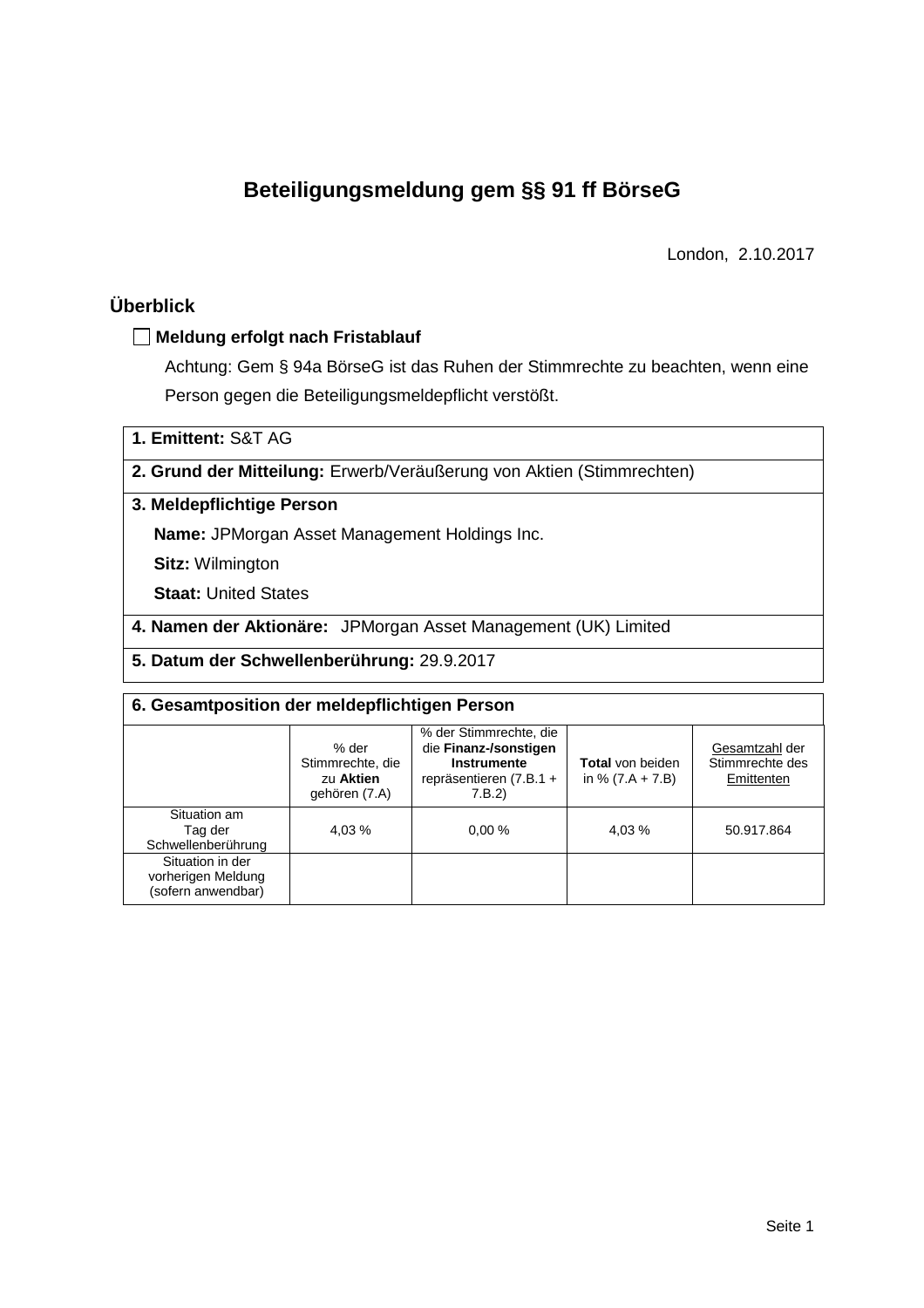# **Beteiligungsmeldung gem §§ 91 ff BörseG**

London, 2.10.2017

## **Überblick**

### **Meldung erfolgt nach Fristablauf**

Achtung: Gem § 94a BörseG ist das Ruhen der Stimmrechte zu beachten, wenn eine Person gegen die Beteiligungsmeldepflicht verstößt.

**1. Emittent:** S&T AG

### **2. Grund der Mitteilung:** Erwerb/Veräußerung von Aktien (Stimmrechten)

## **3. Meldepflichtige Person**

**Name:** JPMorgan Asset Management Holdings Inc.

**Sitz:** Wilmington

**Staat:** United States

**4. Namen der Aktionäre:** JPMorgan Asset Management (UK) Limited

**5. Datum der Schwellenberührung:** 29.9.2017

| 6. Gesamtposition der meldepflichtigen Person                |                                                         |                                                                                                            |                                               |                                                 |  |  |  |
|--------------------------------------------------------------|---------------------------------------------------------|------------------------------------------------------------------------------------------------------------|-----------------------------------------------|-------------------------------------------------|--|--|--|
|                                                              | % der<br>Stimmrechte, die<br>zu Aktien<br>gehören (7.A) | % der Stimmrechte, die<br>die Finanz-/sonstigen<br><b>Instrumente</b><br>repräsentieren (7.B.1 +<br>7.B.2) | <b>Total</b> von beiden<br>in % $(7.A + 7.B)$ | Gesamtzahl der<br>Stimmrechte des<br>Emittenten |  |  |  |
| Situation am<br>Tag der<br>Schwellenberührung                | 4,03 %                                                  | 0.00%                                                                                                      | 4,03 %                                        | 50.917.864                                      |  |  |  |
| Situation in der<br>vorherigen Meldung<br>(sofern anwendbar) |                                                         |                                                                                                            |                                               |                                                 |  |  |  |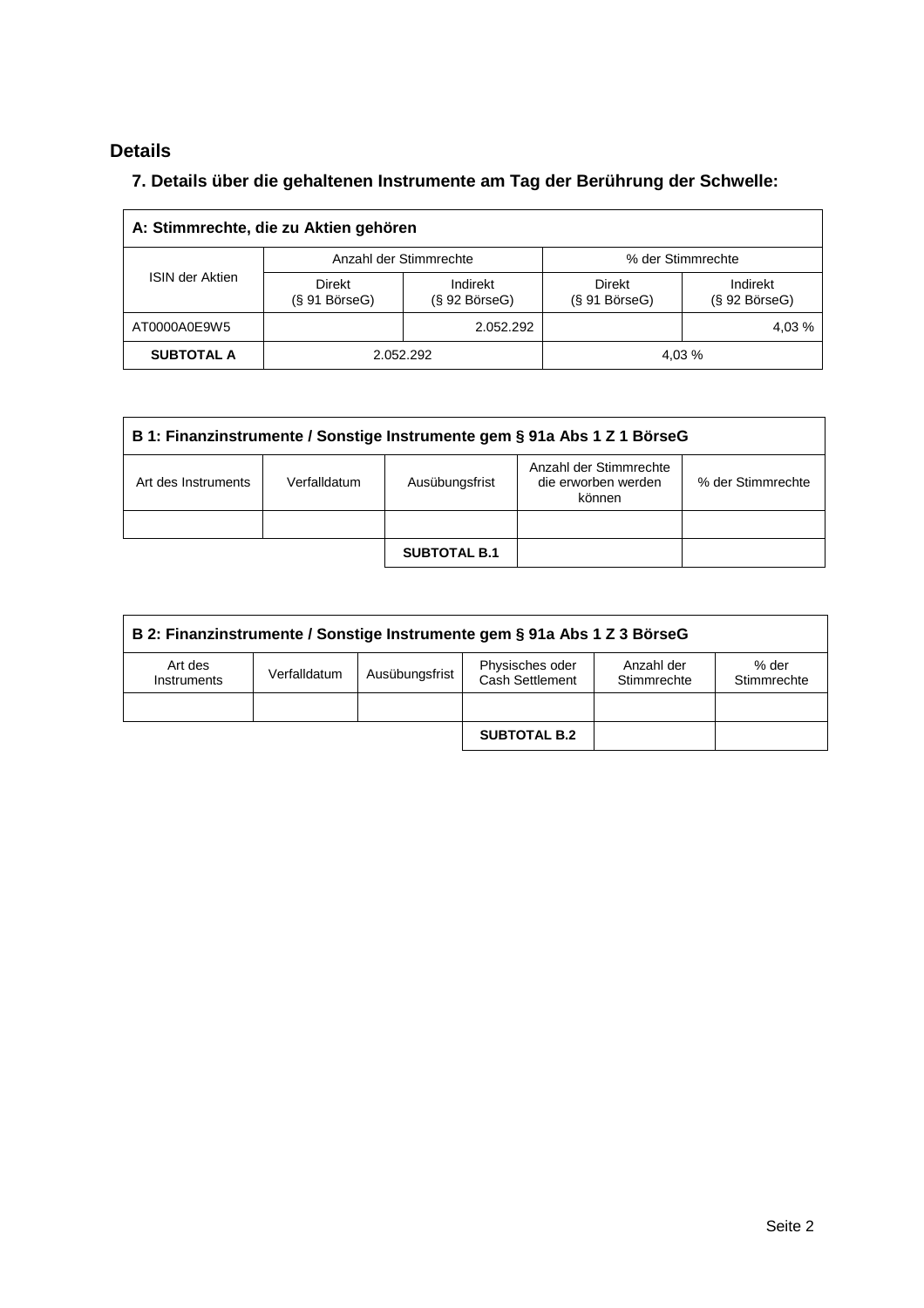# **Details**

 $\overline{\Gamma}$ 

# **7. Details über die gehaltenen Instrumente am Tag der Berührung der Schwelle:**

| A: Stimmrechte, die zu Aktien gehören |                                  |                                 |                               |                                 |  |  |  |  |
|---------------------------------------|----------------------------------|---------------------------------|-------------------------------|---------------------------------|--|--|--|--|
| <b>ISIN der Aktien</b>                |                                  | Anzahl der Stimmrechte          | % der Stimmrechte             |                                 |  |  |  |  |
|                                       | Direkt<br>$(S 91 B\ddot{o}rseG)$ | Indirekt<br>$(S 92 B$ örse $G)$ | Direkt<br>$(S 91 B$ örse $G)$ | Indirekt<br>$(S 92 B$ örse $G)$ |  |  |  |  |
| AT0000A0E9W5                          |                                  | 2.052.292                       |                               | 4,03 %                          |  |  |  |  |
| <b>SUBTOTAL A</b>                     | 2.052.292                        |                                 |                               | 4,03 %                          |  |  |  |  |

| B 1: Finanzinstrumente / Sonstige Instrumente gem § 91a Abs 1 Z 1 BörseG |                                                                                                                |                     |  |  |  |  |
|--------------------------------------------------------------------------|----------------------------------------------------------------------------------------------------------------|---------------------|--|--|--|--|
| Art des Instruments                                                      | Anzahl der Stimmrechte<br>die erworben werden<br>% der Stimmrechte<br>Verfalldatum<br>Ausübungsfrist<br>können |                     |  |  |  |  |
|                                                                          |                                                                                                                |                     |  |  |  |  |
|                                                                          |                                                                                                                | <b>SUBTOTAL B.1</b> |  |  |  |  |

| B 2: Finanzinstrumente / Sonstige Instrumente gem § 91a Abs 1 Z 3 BörseG |                                                                                                                           |  |                     |  |  |  |  |
|--------------------------------------------------------------------------|---------------------------------------------------------------------------------------------------------------------------|--|---------------------|--|--|--|--|
| Art des<br>Instruments                                                   | Physisches oder<br>% der<br>Anzahl der<br>Ausübungsfrist<br>Verfalldatum<br>Cash Settlement<br>Stimmrechte<br>Stimmrechte |  |                     |  |  |  |  |
|                                                                          |                                                                                                                           |  |                     |  |  |  |  |
|                                                                          |                                                                                                                           |  | <b>SUBTOTAL B.2</b> |  |  |  |  |

 $\overline{\phantom{a}}$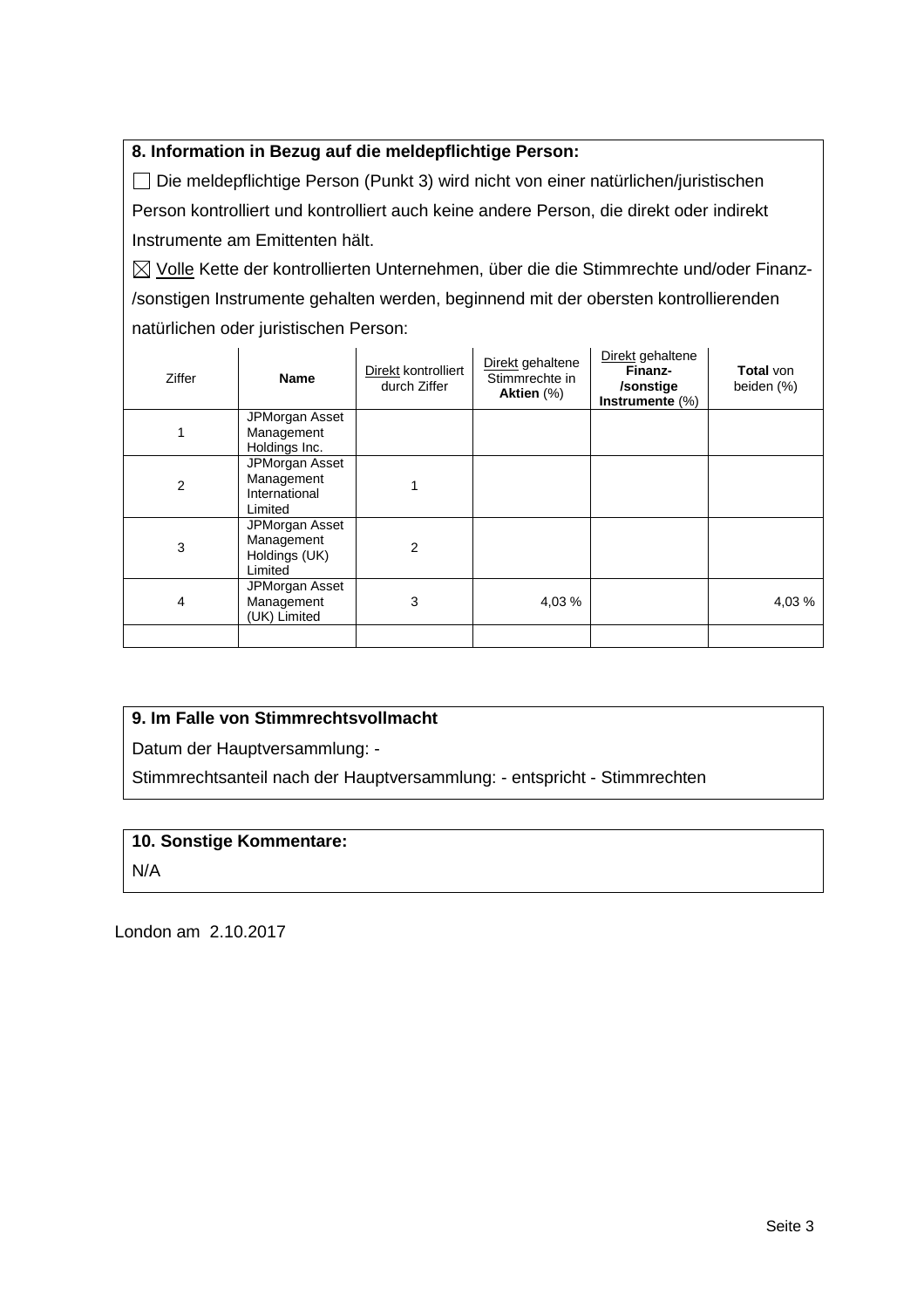## **8. Information in Bezug auf die meldepflichtige Person:**

 Die meldepflichtige Person (Punkt 3) wird nicht von einer natürlichen/juristischen Person kontrolliert und kontrolliert auch keine andere Person, die direkt oder indirekt Instrumente am Emittenten hält.

 $\boxtimes$  Volle Kette der kontrollierten Unternehmen, über die die Stimmrechte und/oder Finanz-/sonstigen Instrumente gehalten werden, beginnend mit der obersten kontrollierenden natürlichen oder juristischen Person:

| Ziffer | <b>Name</b>                                              | Direkt kontrolliert<br>durch Ziffer | Direkt gehaltene<br>Stimmrechte in<br>Aktien (%) | Direkt gehaltene<br>Finanz-<br>/sonstige<br>Instrumente $(\%)$ | <b>Total</b> von<br>beiden (%) |
|--------|----------------------------------------------------------|-------------------------------------|--------------------------------------------------|----------------------------------------------------------------|--------------------------------|
|        | JPMorgan Asset<br>Management<br>Holdings Inc.            |                                     |                                                  |                                                                |                                |
| 2      | JPMorgan Asset<br>Management<br>International<br>Limited |                                     |                                                  |                                                                |                                |
| 3      | JPMorgan Asset<br>Management<br>Holdings (UK)<br>Limited | 2                                   |                                                  |                                                                |                                |
| 4      | JPMorgan Asset<br>Management<br>(UK) Limited             | 3                                   | 4,03 %                                           |                                                                | 4,03 %                         |
|        |                                                          |                                     |                                                  |                                                                |                                |

## **9. Im Falle von Stimmrechtsvollmacht**

Datum der Hauptversammlung: -

Stimmrechtsanteil nach der Hauptversammlung: - entspricht - Stimmrechten

## **10. Sonstige Kommentare:**

N/A

London am 2.10.2017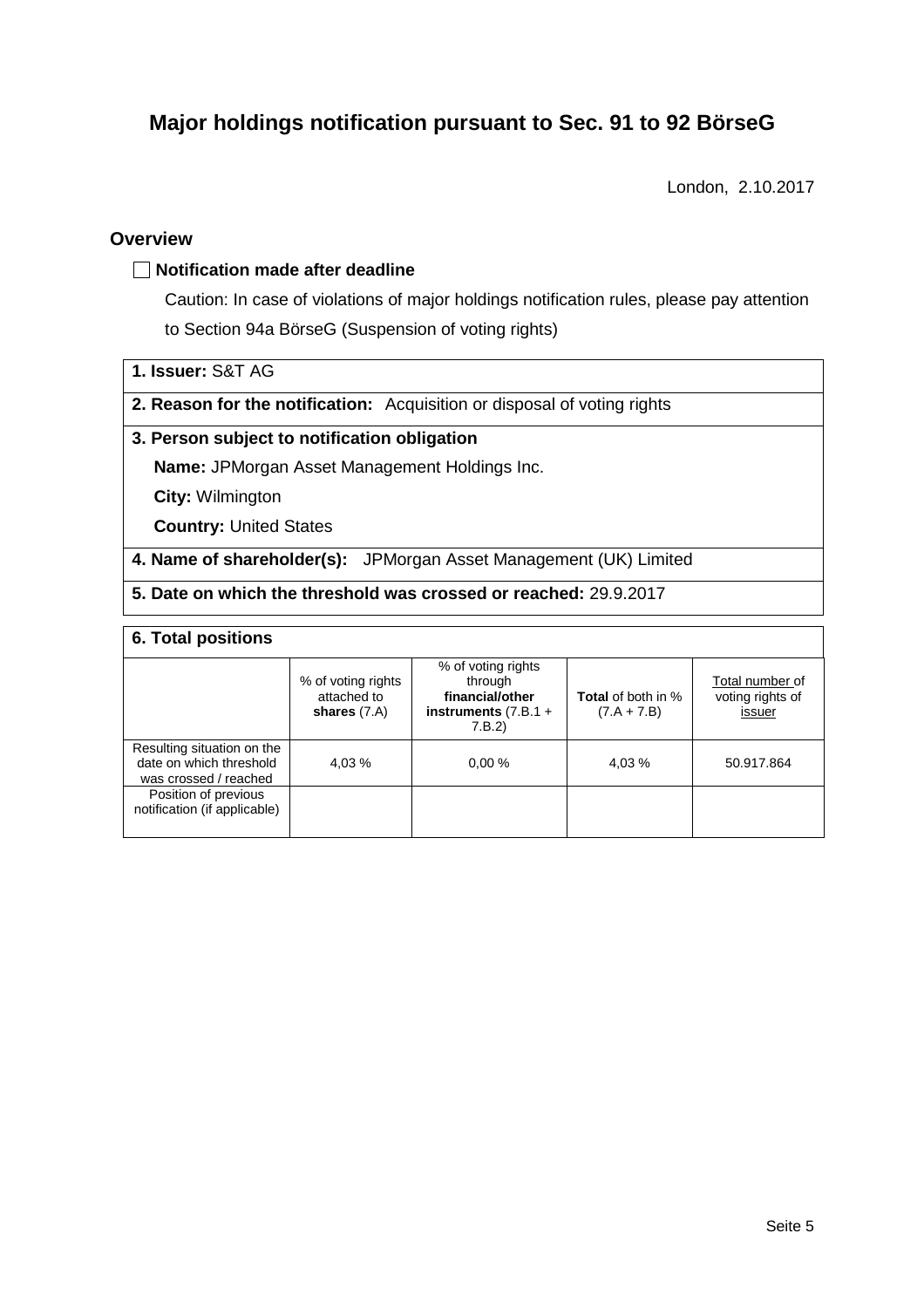# **Major holdings notification pursuant to Sec. 91 to 92 BörseG**

London, 2.10.2017

### **Overview**

### **Notification made after deadline**

Caution: In case of violations of major holdings notification rules, please pay attention to Section 94a BörseG (Suspension of voting rights)

**1. Issuer:** S&T AG

**2. Reason for the notification:** Acquisition or disposal of voting rights

### **3. Person subject to notification obligation**

**Name:** JPMorgan Asset Management Holdings Inc.

**City:** Wilmington

**Country:** United States

**4. Name of shareholder(s):** JPMorgan Asset Management (UK) Limited

**5. Date on which the threshold was crossed or reached:** 29.9.2017

### **6. Total positions**

|                                                                                | % of voting rights<br>attached to<br>shares $(7.A)$ | % of voting rights<br>through<br>financial/other<br>instruments $(7.B.1 +$<br>7.B.2 | <b>Total</b> of both in %<br>$(7.A + 7.B)$ | Total number of<br>voting rights of<br>issuer |
|--------------------------------------------------------------------------------|-----------------------------------------------------|-------------------------------------------------------------------------------------|--------------------------------------------|-----------------------------------------------|
| Resulting situation on the<br>date on which threshold<br>was crossed / reached | 4.03 %                                              | 0.00%                                                                               | 4,03 %                                     | 50.917.864                                    |
| Position of previous<br>notification (if applicable)                           |                                                     |                                                                                     |                                            |                                               |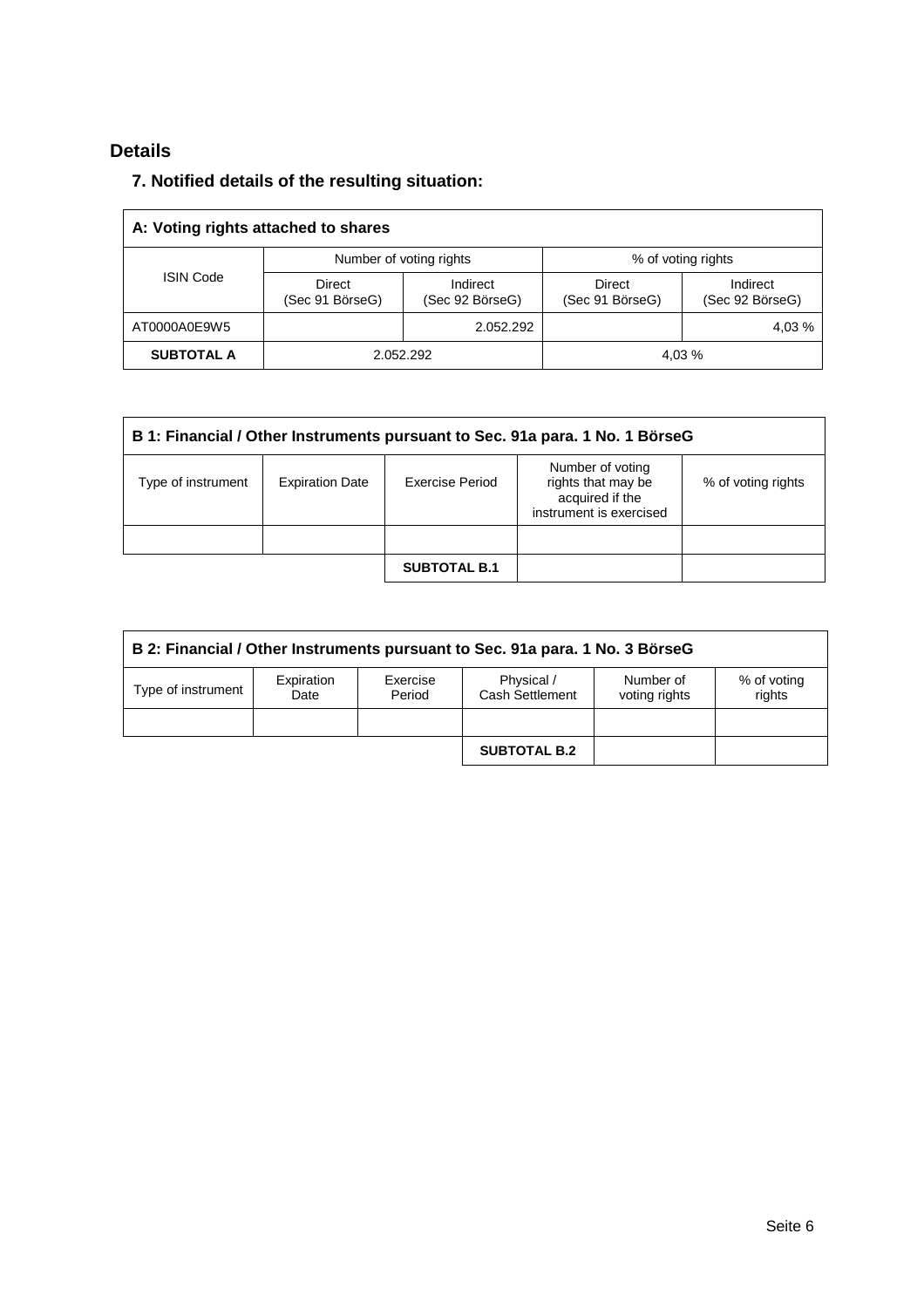# **Details**

## **7. Notified details of the resulting situation:**

| A: Voting rights attached to shares |                           |                                               |                           |                             |  |  |  |
|-------------------------------------|---------------------------|-----------------------------------------------|---------------------------|-----------------------------|--|--|--|
| <b>ISIN Code</b>                    |                           | Number of voting rights<br>% of voting rights |                           |                             |  |  |  |
|                                     | Direct<br>(Sec 91 BörseG) | Indirect<br>(Sec 92 BörseG)                   | Direct<br>(Sec 91 BörseG) | Indirect<br>(Sec 92 BörseG) |  |  |  |
| AT0000A0E9W5                        |                           | 2.052.292                                     |                           | 4,03 %                      |  |  |  |
| <b>SUBTOTAL A</b>                   |                           | 2.052.292                                     |                           | 4.03 %                      |  |  |  |

| B 1: Financial / Other Instruments pursuant to Sec. 91a para. 1 No. 1 BörseG |                        |                     |                                                                                      |                    |  |  |
|------------------------------------------------------------------------------|------------------------|---------------------|--------------------------------------------------------------------------------------|--------------------|--|--|
| Type of instrument                                                           | <b>Expiration Date</b> | Exercise Period     | Number of voting<br>rights that may be<br>acquired if the<br>instrument is exercised | % of voting rights |  |  |
|                                                                              |                        |                     |                                                                                      |                    |  |  |
|                                                                              |                        | <b>SUBTOTAL B.1</b> |                                                                                      |                    |  |  |

| B 2: Financial / Other Instruments pursuant to Sec. 91a para. 1 No. 3 BörseG |                    |                    |                               |                            |                       |  |  |
|------------------------------------------------------------------------------|--------------------|--------------------|-------------------------------|----------------------------|-----------------------|--|--|
| Type of instrument                                                           | Expiration<br>Date | Exercise<br>Period | Physical /<br>Cash Settlement | Number of<br>voting rights | % of voting<br>rights |  |  |
|                                                                              |                    |                    |                               |                            |                       |  |  |
|                                                                              |                    |                    | <b>SUBTOTAL B.2</b>           |                            |                       |  |  |